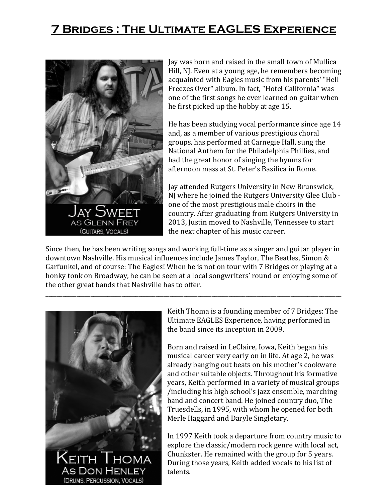## **7 Bridges : The Ultimate EAGLES Experience**



Jay was born and raised in the small town of Mullica Hill, NJ. Even at a young age, he remembers becoming acquainted with Eagles music from his parents' "Hell Freezes Over" album. In fact, "Hotel California" was one of the first songs he ever learned on guitar when he first picked up the hobby at age 15.

He has been studying vocal performance since age 14 and, as a member of various prestigious choral groups, has performed at Carnegie Hall, sung the National Anthem for the Philadelphia Phillies, and had the great honor of singing the hymns for afternoon mass at St. Peter's Basilica in Rome.

Jay attended Rutgers University in New Brunswick, NJ where he joined the Rutgers University Glee Club one of the most prestigious male choirs in the country. After graduating from Rutgers University in 2013, Justin moved to Nashville, Tennessee to start the next chapter of his music career.

Since then, he has been writing songs and working full-time as a singer and guitar player in downtown Nashville. His musical influences include James Taylor, The Beatles, Simon & Garfunkel, and of course: The Eagles! When he is not on tour with 7 Bridges or playing at a honky tonk on Broadway, he can be seen at a local songwriters' round or enjoying some of the other great bands that Nashville has to offer.

\_\_\_\_\_\_\_\_\_\_\_\_\_\_\_\_\_\_\_\_\_\_\_\_\_\_\_\_\_\_\_\_\_\_\_\_\_\_\_\_\_\_\_\_\_\_\_\_\_\_\_\_\_\_\_\_\_\_\_\_\_\_\_\_\_\_\_\_\_\_\_\_\_\_\_\_\_\_\_\_\_\_\_\_\_\_\_\_\_\_\_\_\_\_\_\_\_\_\_\_\_\_\_\_\_



Keith Thoma is a founding member of 7 Bridges: The Ultimate EAGLES Experience, having performed in the band since its inception in 2009.

Born and raised in LeClaire, Iowa, Keith began his musical career very early on in life. At age 2, he was already banging out beats on his mother's cookware and other suitable objects. Throughout his formative years, Keith performed in a variety of musical groups /including his high school's jazz ensemble, marching band and concert band. He joined country duo, The Truesdells, in 1995, with whom he opened for both Merle Haggard and Daryle Singletary.

In 1997 Keith took a departure from country music to explore the classic/modern rock genre with local act, Chunkster. He remained with the group for 5 years. During those years, Keith added vocals to his list of talents.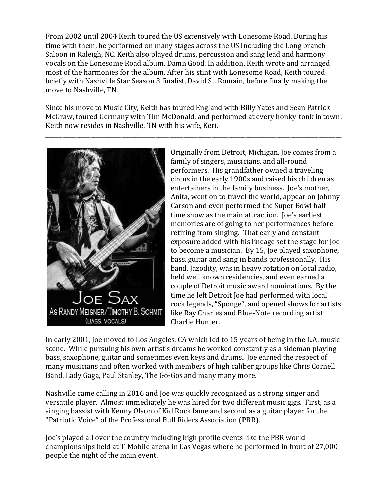From 2002 until 2004 Keith toured the US extensively with Lonesome Road. During his time with them, he performed on many stages across the US including the Long branch Saloon in Raleigh, NC. Keith also played drums, percussion and sang lead and harmony vocals on the Lonesome Road album, Damn Good. In addition, Keith wrote and arranged most of the harmonies for the album. After his stint with Lonesome Road, Keith toured briefly with Nashville Star Season 3 finalist, David St. Romain, before finally making the move to Nashville, TN.

Since his move to Music City, Keith has toured England with Billy Yates and Sean Patrick McGraw, toured Germany with Tim McDonald, and performed at every honky-tonk in town. Keith now resides in Nashville, TN with his wife, Keri.

\_\_\_\_\_\_\_\_\_\_\_\_\_\_\_\_\_\_\_\_\_\_\_\_\_\_\_\_\_\_\_\_\_\_\_\_\_\_\_\_\_\_\_\_\_\_\_\_\_\_\_\_\_\_\_\_\_\_\_\_\_\_\_\_\_\_\_\_\_\_\_\_\_\_\_\_\_\_\_\_\_\_\_\_\_\_\_\_\_\_\_\_\_\_\_\_\_\_\_\_\_\_\_\_\_



Originally from Detroit, Michigan, Joe comes from a family of singers, musicians, and all-round performers. His grandfather owned a traveling circus in the early 1900s and raised his children as entertainers in the family business. Joe's mother, Anita, went on to travel the world, appear on Johnny Carson and even performed the Super Bowl halftime show as the main attraction. Joe's earliest memories are of going to her performances before retiring from singing. That early and constant exposure added with his lineage set the stage for Joe to become a musician. By 15, Joe played saxophone, bass, guitar and sang in bands professionally. His band, Jazodity, was in heavy rotation on local radio, held well known residencies, and even earned a couple of Detroit music award nominations. By the time he left Detroit Joe had performed with local rock legends, "Sponge", and opened shows for artists like Ray Charles and Blue-Note recording artist Charlie Hunter.

In early 2001, Joe moved to Los Angeles, CA which led to 15 years of being in the L.A. music scene. While pursuing his own artist's dreams he worked constantly as a sideman playing bass, saxophone, guitar and sometimes even keys and drums. Joe earned the respect of many musicians and often worked with members of high caliber groups like Chris Cornell Band, Lady Gaga, Paul Stanley, The Go-Gos and many many more.

Nashville came calling in 2016 and Joe was quickly recognized as a strong singer and versatile player. Almost immediately he was hired for two different music gigs. First, as a singing bassist with Kenny Olson of Kid Rock fame and second as a guitar player for the "Patriotic Voice" of the Professional Bull Riders Association (PBR).

Joe's played all over the country including high profile events like the PBR world championships held at T-Mobile arena in Las Vegas where he performed in front of 27,000 people the night of the main event.

\_\_\_\_\_\_\_\_\_\_\_\_\_\_\_\_\_\_\_\_\_\_\_\_\_\_\_\_\_\_\_\_\_\_\_\_\_\_\_\_\_\_\_\_\_\_\_\_\_\_\_\_\_\_\_\_\_\_\_\_\_\_\_\_\_\_\_\_\_\_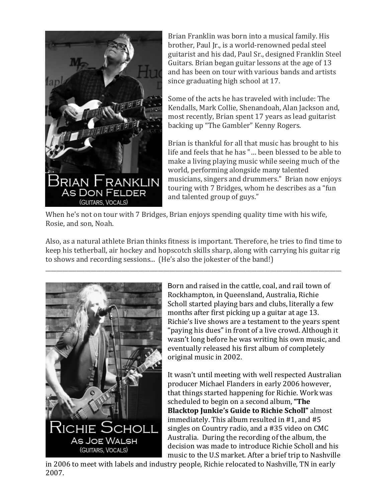

Brian Franklin was born into a musical family. His brother, Paul Jr., is a world-renowned pedal steel guitarist and his dad, Paul Sr., designed Franklin Steel Guitars. Brian began guitar lessons at the age of 13 and has been on tour with various bands and artists since graduating high school at 17.

Some of the acts he has traveled with include: The Kendalls, Mark Collie, Shenandoah, Alan Jackson and, most recently, Brian spent 17 years as lead guitarist backing up "The Gambler" Kenny Rogers.

Brian is thankful for all that music has brought to his life and feels that he has "… been blessed to be able to make a living playing music while seeing much of the world, performing alongside many talented musicians, singers and drummers." Brian now enjoys touring with 7 Bridges, whom he describes as a "fun and talented group of guys."

When he's not on tour with 7 Bridges, Brian enjoys spending quality time with his wife, Rosie, and son, Noah.

Also, as a natural athlete Brian thinks fitness is important. Therefore, he tries to find time to keep his tetherball, air hockey and hopscotch skills sharp, along with carrying his guitar rig to shows and recording sessions... (He's also the jokester of the band!)

\_\_\_\_\_\_\_\_\_\_\_\_\_\_\_\_\_\_\_\_\_\_\_\_\_\_\_\_\_\_\_\_\_\_\_\_\_\_\_\_\_\_\_\_\_\_\_\_\_\_\_\_\_\_\_\_\_\_\_\_\_\_\_\_\_\_\_\_\_\_\_\_\_\_\_\_\_\_\_\_\_\_\_\_\_\_\_\_\_\_\_\_\_\_\_\_\_\_\_\_\_\_\_\_\_



Born and raised in the cattle, coal, and rail town of Rockhampton, in Queensland, Australia, Richie Scholl started playing bars and clubs, literally a few months after first picking up a guitar at age 13. Richie's live shows are a testament to the years spent "paying his dues" in front of a live crowd. Although it wasn't long before he was writing his own music, and eventually released his first album of completely original music in 2002.

It wasn't until meeting with well respected Australian producer Michael Flanders in early 2006 however, that things started happening for Richie. Work was scheduled to begin on a second album, **"The Blacktop Junkie's Guide to Richie Scholl"** almost immediately. This album resulted in #1, and #5 singles on Country radio, and a #35 video on CMC Australia. During the recording of the album, the decision was made to introduce Richie Scholl and his music to the U.S market. After a brief trip to Nashville

in 2006 to meet with labels and industry people, Richie relocated to Nashville, TN in early 2007.